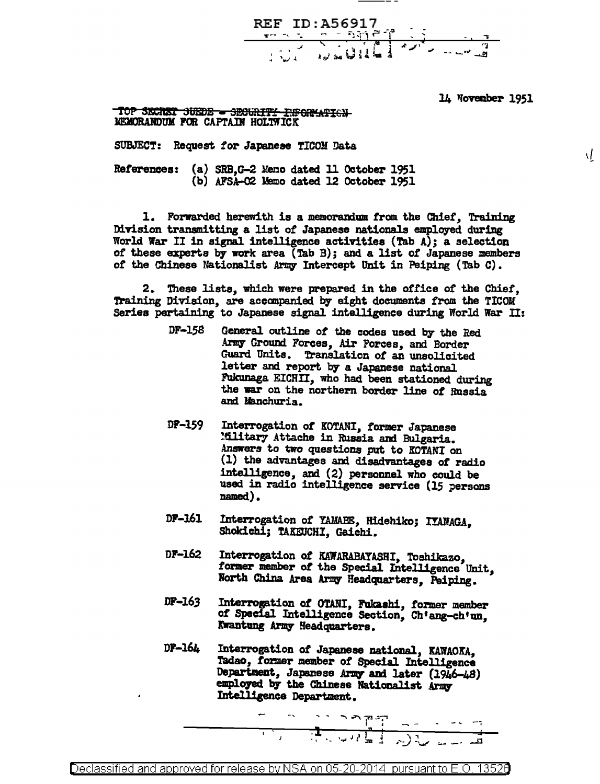

14 November 1951

Ā.

TOP SECRET SUEDE - SECURITY INFORMATION MEMORANDUM FOR CAPTAIN HOLIVICK

SUBJECT: Request for Japanese TICOM Data

References: (a) SRB.G-2 Meno dated 11 October 1951 (b) AFSA-02 Memo dated 12 October 1951

1. Forwarded herewith is a memorandum from the Chief, Training Division transmitting a list of Japanese nationals employed during World War II in signal intelligence activities (Tab A); a selection of these experts by work area (Tab B); and a list of Japanese members of the Chinese Nationalist Army Intercept Unit in Peiping (Tab C).

2. These lists, which were prepared in the office of the Chief, Training Division, are accompanied by eight documents from the TICOM Series pertaining to Japanese signal intelligence during World War II:

- DF-158 General outline of the codes used by the Red Army Ground Forces, Air Forces, and Border Guard Units. Translation of an unsolicited letter and report by a Japanese national Fukunaga EICHII, who had been stationed during the war on the northern border line of Russia and Manchuria.
- DF-159 Interrogation of KOTANI, former Japanese Military Attache in Russia and Bulgaria. Answers to two questions put to KOTANI on (1) the advantages and disadvantages of radio intelligence, and (2) personnel who could be used in radio intelligence service (15 persons named).
- DF-161 Interrogation of YAMABE, Hidehiko; IYANAGA, Shokichi; TAKEUCHI, Gaichi,
- Interrogation of KAWARABAYASHI, Toshikazo, DF-162 former member of the Special Intelligence Unit. North China Area Army Headquarters. Peiping.
- DF-163 Interrogation of OTANI, Fukashi, former member of Special Intelligence Section, Ch'ang-ch'un, Kwantung Army Headquarters.
- $DF-164$ Interrogation of Japanese national, KAWAOKA. Tadao, former member of Special Intelligence Department, Japanese Army and later (1946-48) employed by the Chinese Nationalist Army Intelligence Department.

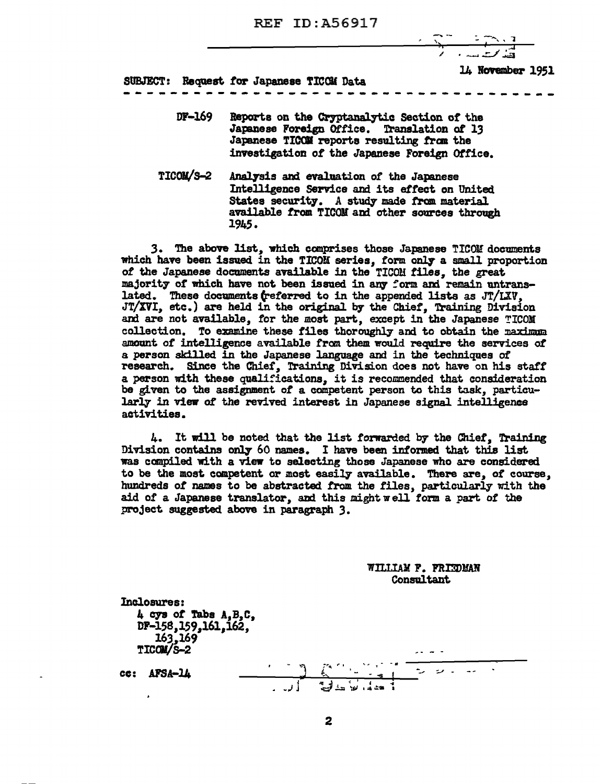# REF ID: A56917

l4 November 1951

SUBJECT: Request *tor* Japanese TICOU Data

DF-169 Reports on the Cryptanalytic Section of the Japanese Foreign Office. Translation *ot* 13 Japanese TICOM reports resulting from the investigation *ot* the Japanese Foreign Office.

-~---~----~-~------------~-----------

TICOM/S-2 Analysis and evaluation of the Japanese Intelligence Service and its effect on United States security. A study made from material available from TICOM and other sources through 1945.

3. The above list, which comprises those Japanese TICOM documents which have been issued in the TICOM series, form only a small proportion *ot* the Japanese documents available in the T!COll tiles, the great majority of which have not been issued in any form and remain untranslated. These documents (referred to in the appended lists as JT/LXV, JT/XVI, etc.) are held in the original by the Chief, Training Division and are not available, for the most part, except in the Japanese TICOM collection. To examine these files thoroughly and to obtain the maximum amount *ot* intelligence available from. them would require the services *ot*  a person skilled in the Japanese language and in the techniques *ot*  research. Since the Chief, Training Division does not have on his staff a person with these qualifications, it is recommended that consideration be given to the assignment *ot* a competent person to this task, particularly in view of the revived interest in Japanese signal intelligence activities.

4. It will be noted that the list forwarded by the Chiet, Training Division contains only 60 names. I have been informed that this list was compiled with a view to selecting those Japanese who are considered to be the most competent or most easily available. There are, of course, hundreds of names to be abstracted from the files, particularly with the aid of a Japanese translator, and this might well form a part of the project suggested above in paragraph 3.

> WILLIAM F. FRIEDMAN Consultant

Inclosures: 4 *a,.. ot* Tabs A,B,C, DF-158,159,161,162, 163,169 TICOM/S-2  $cc:$  AFSA- $14$ j • ~J J ;"'°"" I" I .\_"' T - - II  $\frac{1}{2}$  ...  $\frac{1}{2}$  ...  $\frac{1}{2}$  ...  $\frac{1}{2}$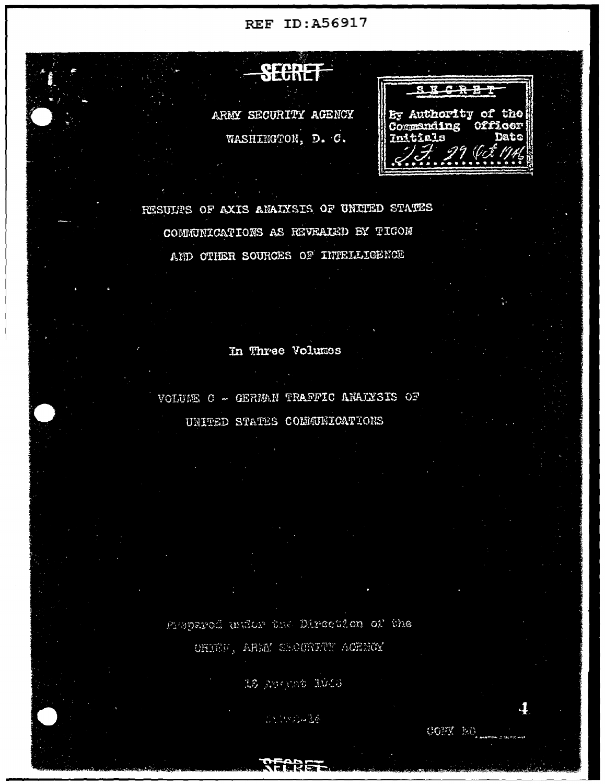**REF ID:A56917** 

SECRET By Authority of the ARMY SECURITY AGENCY Commaing WASHINGTON, D. C. Initials

RESULTS OF AXIS ANALYSIS OF UNITED STATES COMMUNICATIONS AS REVEALED BY TIGON AND OTHER SOURCES OF INTELLIGENCE

**DIATHE** 

In Three Volumes

VOLUAR C - GERMAN TRAFFIC ANALYSIS OF

UNITED STATES COMMUNICATIONS

Prepared under the Direction of the OHIEF, ARMY SEOURITY ACENCY

16 Apricab 1016

ことについる感

COMY NO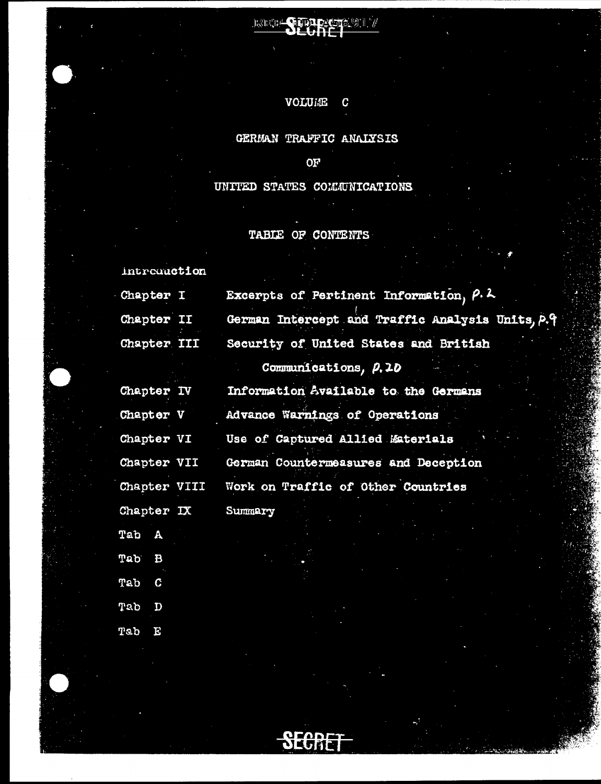# VOLUAE C

69.I

REG' TIDLAS

# GERMAN TRAFFIC ANALYSIS

 $OF$ 

UNITED STATES COMMUNICATIONS

# TABLE OF CONTENTS

| introunction        |                                                  |
|---------------------|--------------------------------------------------|
| Chapter I           | Excerpts of Pertinent Information, P.L.          |
| Chapter II          | German Intercept and Traffic Analysis Units, P.9 |
| <b>Chapter III</b>  | Security of United States and British            |
|                     | Communications, P.10                             |
| Chapter IV          | Information Available to the Germans             |
| Chapter V           | Advance Warnings of Operations                   |
| Chapter VI          | Use of Captured Allied Materials                 |
| Chapter VII         | German Countermeasures and Deception             |
| Chapter VIII        | Work on Traffic of Other Countries               |
| Chapter IX          | Summary                                          |
| Tab<br>$\mathbf{A}$ |                                                  |
| Tab<br>$\bf{B}$     |                                                  |
| Tab<br>C            |                                                  |
| Tab<br>D            |                                                  |
| moh<br>ъ            |                                                  |

upan 门或可耐冒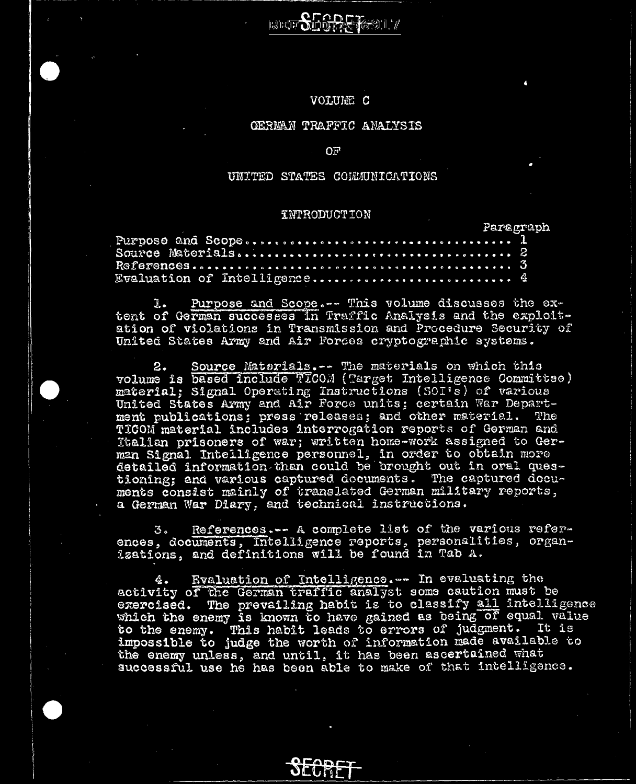## VOLUME C

**BEE SHORE TABLE** 

# GERMAN TRAFFIC ANALYSIS

#### OF

# UNITED STATES COLLUNICATIONS

## **INTRODUCTION**

|  |  |  |  |  |  |  |  |  |  |  |  |  |  |  |  | $\mathcal{F}$ and an index control of |  |
|--|--|--|--|--|--|--|--|--|--|--|--|--|--|--|--|---------------------------------------|--|
|  |  |  |  |  |  |  |  |  |  |  |  |  |  |  |  |                                       |  |
|  |  |  |  |  |  |  |  |  |  |  |  |  |  |  |  |                                       |  |
|  |  |  |  |  |  |  |  |  |  |  |  |  |  |  |  |                                       |  |
|  |  |  |  |  |  |  |  |  |  |  |  |  |  |  |  |                                       |  |

Purpose and Scope.-- This volume discusses the ex-J. . tent of German successes in Traffic Analysis and the exploitation of violations in Transmission and Procedure Security of United States Army and Air Forces cryptographic systems.

Source Materials. -- The materials on which this  $2$ volume is based include TICOM (Target Intelligence Committee) material; Signal Operating Instructions (SOI's) of various<br>United States Army and Air Force units; certain War Department publications; press releases; and other material. The TICOM material includes interrogation reports of German and Italian prisoners of war; written home-work assigned to German Signal Intelligence personnel, in order to obtain more detailed information than could be brought out in oral questioning; and various captured documents. The captured docu-ments consist mainly of translated German military reports, a German War Diary, and technical instructions.

References.-- A complete list of the various refer-3. ences, documents, Intelligence reports, personalities, organ-<br>izations, and definitions will be found in Tab A.

Evaluation of Intelligence. -- In evaluating the 4. activity of the German traffic analyst some caution must be exercised. The prevailing habit is to classify all intelligence which the enemy is known to have gained as being of equal value to the enemy. This habit leads to errors of judgment. It is impossible to judge the worth of information made available to the enemy unless, and until, it has been ascertained what successful use he has been able to make of that intelligence.

> **ACADET OLUME**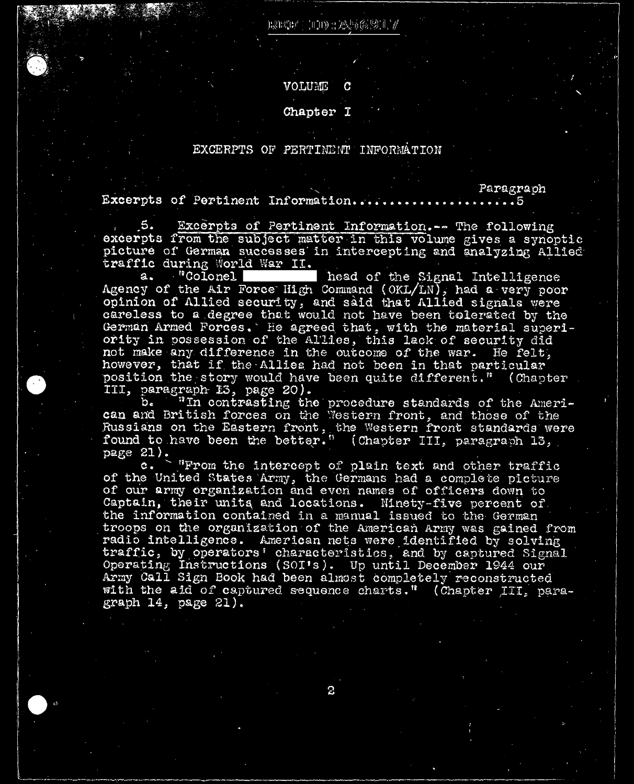B3BCB/ | HH) : 20, 56, 91 | 7

## VOLUME

# Chapter I

# EXCERPTS OF PERTINENT INFORMATION

Excerpts of Pertinent Information...  $\ldots$  5

 $5.$ Excerpts of Pertinent Information.-- The following excerpts from the subject matter in this volume gives a synoptic picture of German successes in intercepting and analyzing Allied traffic during World War II.

Paragraph

head of the Signal Intelligence "Colonel  $a.$ Agency of the Air Force High Command (OKL/LN), had a very poor opinion of Allied security, and said that Allied signals were careless to a degree that would not have been tolerated by the German Armed Forces. He agreed that, with the material superi-<br>ority in possession of the Allies, this lack of security did not make any difference in the outcome of the war. He felt, however, that if the Allies had not been in that particular position the story would have been quite different." (Chapter

III, paragraph 13, page 20).<br>b. "In contrasting the procedure standards of the American and British forces on the Western front, and those of the Russians on the Eastern front, the Western front standards were found to have been the better." (Chapter III, paragraph 13, page  $21$ ).

"From the intercept of plain text and other traffic c. of the United States Army, the Germans had a complete picture of our army organization and even names of officers down to Captain, their units and locations. Minety-five percent of the information contained in a manual issued to the German troops on the organization of the American Army was gained from radio intelligence. American nets were identified by solving traffic, by operators' characteristics, and by captured Signal Operating Instructions (SOI's). Up until December 1944 our Army Call Sign Book had been almost completely reconstructed with the aid of captured sequence charts." (Chapter III, paragraph  $14$ , page  $21$ ).

2.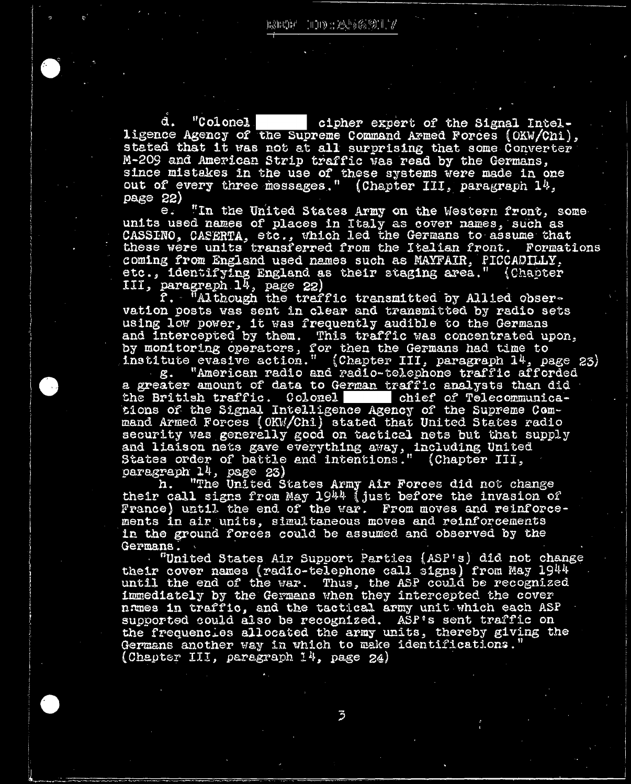"Colonel d. cipher expert of the Signal Intelligence Agency of the Supreme Command Armed Forces (OKW/Chi), stated that it was not at all surprising that some Converter M-209 and American Strip traffic was read by the Germans, since mistakes in the use of these systems were made in one out of every three messages." (Chapter III, paragraph 14, page 22)

"In the United States Army on the Western front, some  $e:$ units used names of places in Italy as cover names, such as CASSINO, CASERTA, etc., which led the Germans to assume that these were units transferred from the Italian front. Formations coming from England used names such as MAYFAIR, PICCADILLY, etc., identifying England as their staging area." (Chapter

III, paragraph 14, page 22)<br>f. "Although the traffic transmitted by Allied observation posts was sent in clear and transmitted by radio sets using low power, it was frequently audible to the Germans and intercepted by them. This traffic was concentrated upon,<br>by monitoring operators, for then the Germans had time to institute evasive action." (Chapter III, paragraph 14, page 23)

"American radio and radio-telephone traffic afforded ደ. a greater amount of data to German traffic analysts than did chief of Telecommunicathe British traffic. Colonel tions of the Signal Intelligence Agency of the Supreme Com-<br>mand Armed Forces (OKW/Chi) stated that United States radio<br>security was generally good on tactical nets but that supply and liaison nets gave everything away, including United<br>States order of battle and intentions." (Chapter III,<br>paragraph 14, page 23)

h. "The United States Army Air Forces did not change their call signs from May 1944 (just before the invasion of France) until the end of the war. From moves and reinforcements in air units, simultaneous moves and reinforcements in the ground forces could be assumed and observed by the Germans.

"United States Air Support Parties (ASP's) did not change their cover names (radio-telephone call signs) from May 1944 until the end of the war. Thus, the ASP could be recognized immediately by the Germans when they intercepted the cover names in traffic, and the tactical army unit which each ASP supported could also be recognized. ASP's sent traffic on the frequencies allocated the army units, thereby giving the Germans another way in which to make identifications. (Chapter III, paragraph  $14$ , page  $24$ )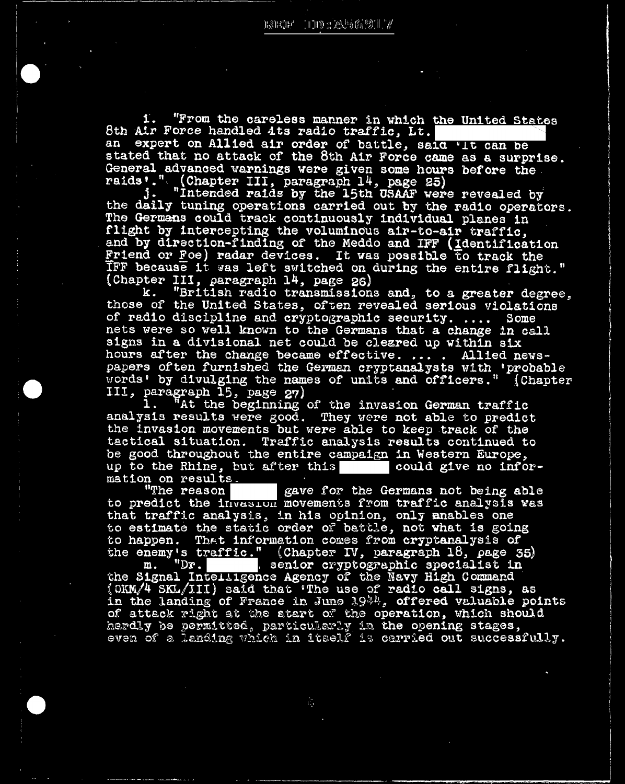$1.$ "From the careless manner in which the United States 8th Air Force handled Ats radio traffic, Lt. expert on Allied air order of battle, said 'It can be  $AD$ stated that no attack of the 8th Air Force came as a surprise. General advanced warnings were given some hours before the

raids'." (Chapter III, paragraph 14, page 25)<br>j. "Intended raids by the 15th USAAF were revealed by<br>the daily tuning operations carried out by the radio operators. The Germans could track continuously individual planes in flight by intercepting the voluminous air-to-air traffic. and by direction-finding of the Meddo and IFF (Identification Friend or Foe) radar devices. It was possible to track the TFF because it was left switched on during the entire flight." (Chapter III, paragraph 14, page 26)

"British radio transmissions and, to a greater degree, k. those of the United States, often revealed serious violations of radio discipline and cryptographic security. .... Some nets were so well known to the Germans that a change in call signs in a divisional net could be cleared up within six hours after the change became effective. ... . Allied newspapers often furnished the German cryptanalysts with 'probable words' by divulging the names of units and officers." (Chapter

III, paragraph 15, page 27)<br>1. "At the beginning of the invasion German traffic analysis results were good. They were not able to predict the invasion movements but were able to keep track of the tactical situation. Traffic analysis results continued to be good throughout the entire campaign in Western Europe, up to the Rhine, but after this could give no information on results.

gave for the Germans not being able "The reason to predict the invasion movements from traffic analysis was that traffic analysis, in his opinion, only mables one to estimate the static order of battle, not what is going to happen. That information comes from cryptanalysis of the enemy's traffic." (Chapter IV, paragraph 18, page 35)<br>m. "Dr. senior cryptographic specialist in

the Signal Intelligence Agency of the Navy High Command (OKM/4 SKL/III) said that 'The use of radio call signs, as<br>in the landing of France in June 1944, offered valuable points of attack right at the atart of the operation, which should herdly be permitted, particularly in the opening stages, even of a landing which in itself is carried out successfully.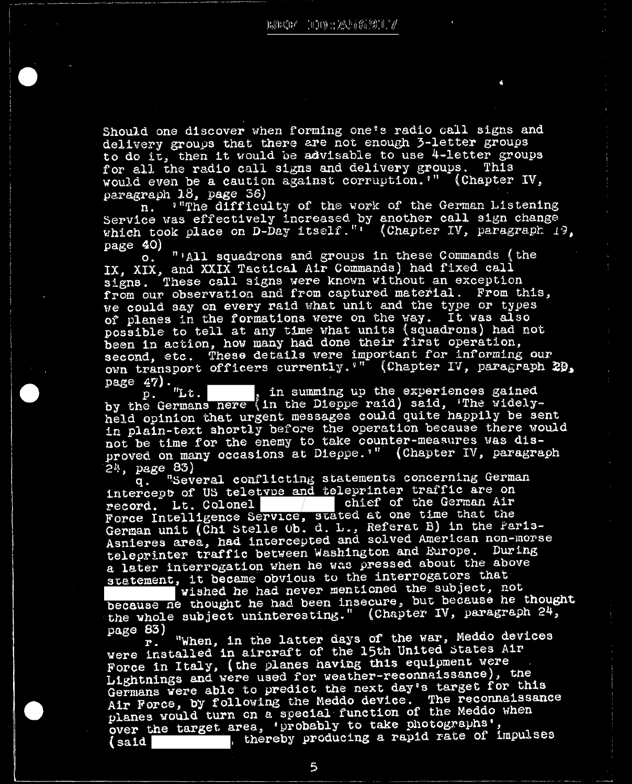Should one discover when forming one's radio call signs and delivery groups that there are not enough 3-letter groups to do it, then it would be advisable to use 4-letter groups for all the radio call signs and delivery groups. This would even be a caution against corruption."" (Chapter IV, paragraph  $18$ , page 36)

"The difficulty of the work of the German Listening n. Service was effectively increased by another call sign change which took place on D-Day itself."' (Chapter IV, paragraph 19,  $page$  40)

"'All squadrons and groups in these Commands (the  $\mathbf{o}$ . IX, XIX, and XXIX Tactical Air Commands) had fixed call signs. These call signs were known without an exception from our observation and from captured material. From this, we could say on every raid what unit and the type or types of planes in the formations were on the way. It was also possible to tell at any time what units (squadrons) had not been in action, how many had done their first operation, second, etc. These details were important for informing our own transport officers currently. "" (Chapter IV, paragraph 29, page 47).

p. "Lt. , in summing up the experiences gained<br>by the Germans nere (in the Dieppe raid) said, 'The widelyheld opinion that urgent messages could quite happily be sent in plain-text shortly before the operation because there would not be time for the enemy to take counter-measures was disproved on many occasions at Dieppe. "" (Chapter IV, paragraph  $24, \ \text{page } 83)$ 

"Several conflicting statements concerning German q. intercept of US teletype and teleprinter traffic are on chief of the German Air record. Lt. Colonel Force Intelligence Service, stated at one time that the German unit (Chi Stelle Ob. d. L., Referat B) in the Paris-Asnieres area, had intercepted and solved American non-morse teleprinter traffic between Washington and Europe. During a later interrogation when he was pressed about the above statement, it became obvious to the interrogators that

vished he had never mentioned the subject, not because ne thought he had been insecure, but because he thought the whole subject uninteresting." (Chapter IV, paragraph 24, page 83)

"When, in the latter days of the war, Meddo devices  $\mathbf{r}$  . were installed in aircraft of the 15th United States Air Force in Italy, (the planes having this equipment were Lightnings and were used for weather-reconnaissance), the Germans were able to predict the next day's target for this Air Force, by following the Meddo device. The reconnaissance planes would turn on a special function of the Meddo when over the target area, 'probably to take photographs', , thereby producing a rapid rate of impulses  $(s$ aid

5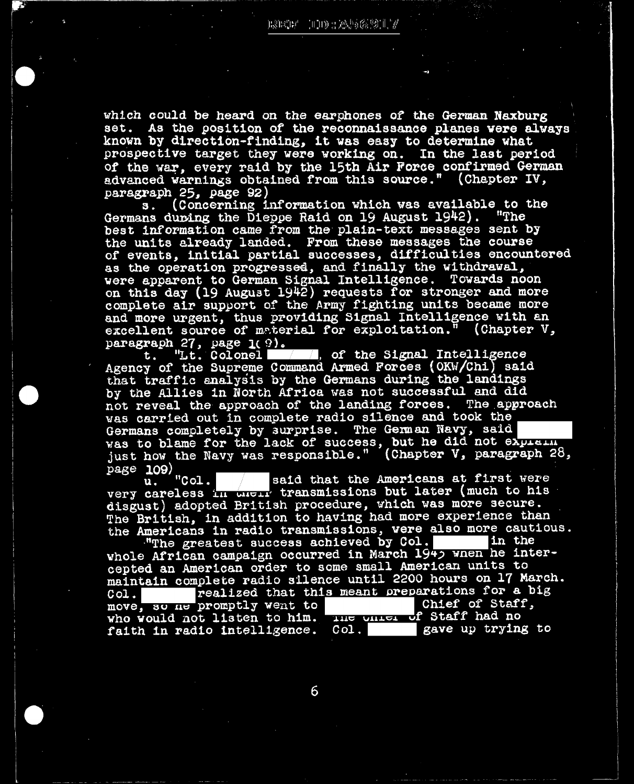which could be heard on the earphones of the German Naxburg set. As the position of the reconnaissance planes were always known by direction-finding, it was easy to determine what prospective target they were working on. In the last period of the war, every raid by the 15th Air Force confirmed German advanced warnings obtained from this source." (Chapter IV, paragraph 25, page 92)<br>s. (Concerning information which was available to the

Germans during the Dieppe Raid on 19 August 1942). "The best information came from the plain-text messages sent by the units already landed. From these messages the course of events, initial partial successes, difficulties encountered as the operation progressed, and finally the withdrawal, were apparent to German Signal Intelligence. Towards noon on this day (19 August 1942) requests for stronger and more complete air support of the Army fighting units became more and more urgent, thus providing Signal Intelligence with an excellent source of material for exploitation." (Chapter V, paragraph 27, page 1(9).

"Lt. Colonel . of the Signal Intelligence t. Agency of the Supreme Command Armed Forces (OKW/Chi) said that traffic analysis by the Germans during the landings<br>by the Allies in North Africa was not successful and did not reveal the approach of the landing forces. The approach was carried out in complete radio silence and took the Germans completely by surprise. The German Navy, said was to blame for the lack of success, but he did not explain just how the Navy was responsible." (Chapter V, paragraph 28, page 109)<br>page 109)<br>"Col.

said that the Americans at first were very careless in their transmissions but later (much to his disgust) adopted British procedure, which was more secure. The British, in addition to having had more experience than the Americans in radio transmissions, were also more cautious.

"The greatest success achieved by Col. in the whole African campaign occurred in March 1945 when he intercepted an American order to some small American units to maintain complete radio silence until 2200 hours on 17 March. realized that this meant preparations for a big  $Col.$ move, so ne promptly went to chief of Staff who would not listen to him. The onier of Staff had no Chief of Staff, faith in radio intelligence. Col. gave up trying to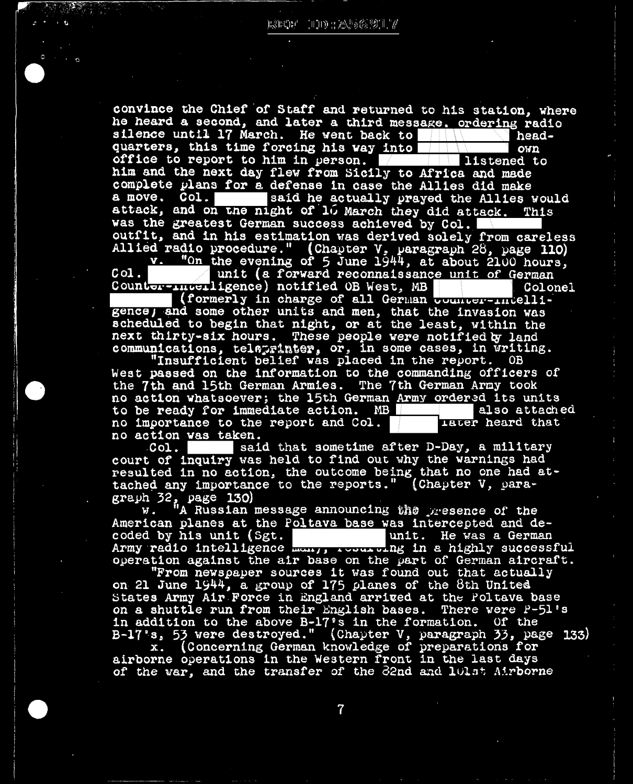convince the Chief of Staff and returned to his station, where he heard a second, and later a third message. ordering radio silence until 17 March. He went back to headquarters, this time forcing his way into own office to report to him in person. listened to him and the next day flew from Sicily to Africa and made complete plans for a defense in case the Allies did make said he actually prayed the Allies would a move. Col. attack, and on the night of 10 March they did attack. This was the greatest German success achieved by Col. outfit, and in his estimation was derived solely from careless Allied radio procedure." (Chapter V, paragraph 28, page 110)

v. "On the evening of 5 June 1944, at about 2100 hours,  $Co1$ . unit (a forward reconnaissance unit of German Counter-Interligence) notified OB West, MB Colonel

(formerly in charge of all German bounter-intelligence, and some other units and men, that the invasion was scheduled to begin that night, or at the least, within the next thirty-six hours. These people were notified by land communications, telaprinter, or, in some cases, in writing.

"Insufficient belief was placed in the report. OB West passed on the information to the commanding officers of the 7th and 15th German Armies. The 7th German Army took no action whatsoever; the 15th German Army ordered its units to be ready for immediate action. MB also attached no importance to the report and Col. **Later** heard that no action was taken.

said that sometime after D-Day, a military  $COI.$ court of inquiry was held to find out why the warnings had resulted in no action, the outcome being that no one had attached any importance to the reports." (Chapter V, para-

graph 32, page 130)<br>w. "A Russian message announcing the presence of the American planes at the Poltava base was intercepted and decoded by his unit (Sgt. unit. He was a German Army radio intelligence want, two wing in a highly successful operation against the air base on the part of German aircraft.

"From newspaper sources it was found out that actually on 21 June 1944, a group of 175 planes of the 8th United States Army Air Force in England arrived at the Poltava base on a shuttle run from their English bases. There were P-51's in addition to the above B-17's in the formation. Of the<br>B-17's, 53 were destroyed." (Chapter V, paragraph 33, page 133)<br>x. (Concerning German knowledge of preparations for<br>airborne operations in the Western front in the l

of the war, and the transfer of the 32nd and 101st Airborne